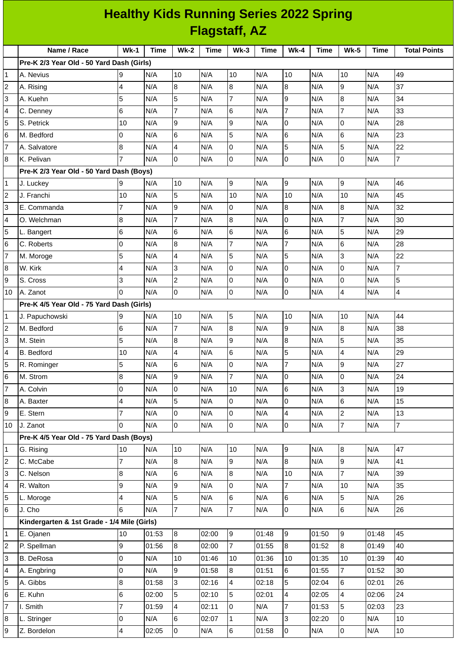| <b>Healthy Kids Running Series 2022 Spring</b> |                                             |                          |             |                |             |                |             |                |       |                          |             |                     |
|------------------------------------------------|---------------------------------------------|--------------------------|-------------|----------------|-------------|----------------|-------------|----------------|-------|--------------------------|-------------|---------------------|
| <b>Flagstaff, AZ</b>                           |                                             |                          |             |                |             |                |             |                |       |                          |             |                     |
|                                                | Name / Race                                 | $Wk-1$                   | <b>Time</b> | $Wk-2$         | <b>Time</b> | $Wk-3$         | <b>Time</b> | $Wk-4$         | Time  | <b>Wk-5</b>              | <b>Time</b> | <b>Total Points</b> |
|                                                | Pre-K 2/3 Year Old - 50 Yard Dash (Girls)   |                          |             |                |             |                |             |                |       |                          |             |                     |
| 1                                              | A. Nevius                                   | 9                        | N/A         | 10             | N/A         | 10             | N/A         | 10             | N/A   | 10                       | N/A         | 49                  |
| 2                                              | A. Rising                                   | $\overline{4}$           | N/A         | 8              | N/A         | 8              | N/A         | 8              | N/A   | 9                        | N/A         | 37                  |
| 3                                              | A. Kuehn                                    | 5                        | N/A         | 5              | N/A         | $\overline{7}$ | N/A         | 9              | N/A   | 8                        | N/A         | 34                  |
| 4                                              | C. Denney                                   | $6\phantom{a}$           | N/A         | $\overline{7}$ | N/A         | 6              | N/A         | $\overline{7}$ | N/A   | $\overline{7}$           | N/A         | 33                  |
| 5                                              | S. Petrick                                  | 10                       | N/A         | 9              | N/A         | 9              | N/A         | 0              | N/A   | 0                        | N/A         | 28                  |
| 6                                              | M. Bedford                                  | 0                        | N/A         | 6              | N/A         | 5              | N/A         | 6              | N/A   | 6                        | N/A         | 23                  |
| 7                                              | A. Salvatore                                | 8                        | N/A         | $\overline{4}$ | N/A         | $\mathsf 0$    | N/A         | 5              | N/A   | 5                        | N/A         | 22                  |
| 8                                              | K. Pelivan                                  | $\overline{7}$           | N/A         | Iо             | N/A         | 0              | N/A         | 0              | N/A   | 0                        | N/A         | $\overline{7}$      |
|                                                | Pre-K 2/3 Year Old - 50 Yard Dash (Boys)    |                          |             |                |             |                |             |                |       |                          |             |                     |
| 1                                              | J. Luckey                                   | 9                        | N/A         | 10             | N/A         | 9              | N/A         | 9              | N/A   | 9                        | N/A         | 46                  |
| $\overline{c}$                                 | J. Franchi                                  | 10                       | N/A         | 5              | N/A         | 10             | N/A         | 10             | N/A   | 10                       | N/A         | 45                  |
| 3                                              | E. Commanda                                 | $\overline{7}$           | N/A         | 9              | N/A         | 0              | N/A         | 8              | N/A   | 8                        | N/A         | 32                  |
| 4                                              | O. Welchman                                 | 8                        | N/A         | $\overline{7}$ | N/A         | 8              | N/A         | 0              | N/A   | $\overline{7}$           | N/A         | 30                  |
| 5                                              | L. Bangert                                  | 6                        | N/A         | 6              | N/A         | 6              | N/A         | 6              | N/A   | 5                        | N/A         | 29                  |
| 6                                              | C. Roberts                                  | $\overline{0}$           | N/A         | 8              | N/A         | $\overline{7}$ | N/A         | $\overline{7}$ | N/A   | 6                        | N/A         | 28                  |
| 7                                              | M. Moroge                                   | 5                        | N/A         | $\overline{a}$ | N/A         | 5              | N/A         | 5              | N/A   | 3                        | N/A         | 22                  |
| 8                                              | W. Kirk                                     | 4                        | N/A         | Iз             | N/A         | 0              | N/A         | 0              | N/A   | $\mathbf 0$              | N/A         | 7                   |
| 9                                              | S. Cross                                    | 3                        | N/A         | $\overline{2}$ | N/A         | $\mathbf 0$    | N/A         | 0              | N/A   | 0                        | N/A         | 5                   |
| 10                                             | A. Zanot                                    | $\overline{0}$           | N/A         | l0             | N/A         | 0              | N/A         | 0              | N/A   | 4                        | N/A         | 4                   |
|                                                | Pre-K 4/5 Year Old - 75 Yard Dash (Girls)   |                          |             |                |             |                |             |                |       |                          |             |                     |
| 1                                              | J. Papuchowski                              | 9                        | N/A         | 10             | N/A         | 5              | N/A         | 10             | N/A   | 10                       | N/A         | 44                  |
| 2                                              | M. Bedford                                  | $6\phantom{.}6$          | N/A         | $\overline{7}$ | N/A         | 8              | N/A         | 9              | N/A   | 8                        | N/A         | 38                  |
| 3                                              | M. Stein                                    | 5                        | N/A         | $\overline{8}$ | N/A         | 9              | N/A         | 8              | N/A   | 5                        | N/A         | 35                  |
| 4                                              | <b>B.</b> Bedford                           | 10                       | N/A         | 4              | N/A         | 6              | N/A         | 5              | N/A   | $\pmb{4}$                | N/A         | 29                  |
| 5                                              | R. Rominger                                 | 5                        | N/A         | 6              | N/A         | 0              | N/A         | $\overline{7}$ | N/A   | 9                        | N/A         | 27                  |
| 6                                              | M. Strom                                    | $\, 8$                   | N/A         | 9              | N/A         | $\overline{7}$ | N/A         | 0              | N/A   | $\mathbf 0$              | N/A         | 24                  |
| $\overline{7}$                                 | A. Colvin                                   | 0                        | N/A         | l0             | N/A         | $10\,$         | N/A         | 6              | N/A   | 3                        | N/A         | 19                  |
| 8                                              | A. Baxter                                   | $\overline{\mathcal{A}}$ | N/A         | 5              | N/A         | $\mathsf{O}$   | N/A         | 0              | N/A   | 6                        | N/A         | 15                  |
| 9                                              | E. Stern                                    | $\overline{7}$           | N/A         | l0             | N/A         | 0              | N/A         | 4              | N/A   | $\overline{c}$           | N/A         | 13                  |
| 10                                             | J. Zanot                                    | 0                        | N/A         | O              | N/A         | 0              | N/A         | 0              | N/A   | $\overline{\mathcal{I}}$ | N/A         | $\overline{7}$      |
|                                                | Pre-K 4/5 Year Old - 75 Yard Dash (Boys)    |                          |             |                |             |                |             |                |       |                          |             |                     |
| 1                                              | G. Rising                                   | 10                       | N/A         | 10             | N/A         | $10\,$         | N/A         | 9              | N/A   | 8                        | N/A         | 47                  |
| 2                                              | C. McCabe                                   | $\overline{7}$           | N/A         | 8              | N/A         | 9              | N/A         | 8              | N/A   | 9                        | N/A         | 41                  |
| 3                                              | C. Nelson                                   | $\, 8$                   | N/A         | l6             | N/A         | 8              | N/A         | 10             | N/A   | $\overline{7}$           | N/A         | 39                  |
| 4                                              | R. Walton                                   | 9                        | N/A         | 9              | N/A         | 0              | N/A         | $\overline{7}$ | N/A   | 10                       | N/A         | 35                  |
| 5                                              | L. Moroge                                   | 4                        | N/A         | 5              | N/A         | 6              | N/A         | 6              | N/A   | 5                        | N/A         | 26                  |
| 6                                              | J. Cho                                      | $6\phantom{.}6$          | N/A         | $\overline{7}$ | N/A         | 7              | N/A         | 0              | N/A   | 6                        | N/A         | 26                  |
|                                                | Kindergarten & 1st Grade - 1/4 Mile (Girls) |                          |             |                |             |                |             |                |       |                          |             |                     |
| 1                                              | E. Ojanen                                   | 10                       | 01:53       | 8              | 02:00       | 9              | 01:48       | 9              | 01:50 | 9                        | 01:48       | 45                  |
| 2                                              | P. Spellman                                 | 9                        | 01:56       | 8              | 02:00       | $\overline{7}$ | 01:55       | 8              | 01:52 | $\bf{8}$                 | 01:49       | 40                  |
| 3                                              | <b>B.</b> DeRosa                            | 0                        | N/A         | 10             | 01:46       | 10             | 01:36       | 10             | 01:35 | 10                       | 01:39       | 40                  |
| 4                                              | A. Engbring                                 | 0                        | N/A         | 9              | 01:58       | 8              | 01:51       | 6              | 01:55 | $\overline{7}$           | 01:52       | 30                  |
| 5                                              | A. Gibbs                                    | $\, 8$                   | 01:58       | 3              | 02:16       | 4              | 02:18       | 5              | 02:04 | $\,6$                    | 02:01       | 26                  |
| 6                                              | E. Kuhn                                     | $6\phantom{.}6$          | 02:00       | 5              | 02:10       | 5              | 02:01       | 4              | 02:05 | 4                        | 02:06       | 24                  |
| 7                                              | I. Smith                                    | $\overline{7}$           | 01:59       | $\overline{4}$ | 02:11       | $\pmb{0}$      | N/A         | $\overline{7}$ | 01:53 | 5                        | 02:03       | 23                  |
| 8                                              | L. Stringer                                 | $\mathsf 0$              | N/A         | 6              | 02:07       | $\mathbf{1}$   | N/A         | 3              | 02:20 | 0                        | N/A         | 10                  |
| 9                                              | Z. Bordelon                                 | $\overline{\mathbf{4}}$  | 02:05       | l0             | N/A         | 6              | 01:58       | 0              | N/A   | $\mathsf{O}\xspace$      | N/A         | $10\,$              |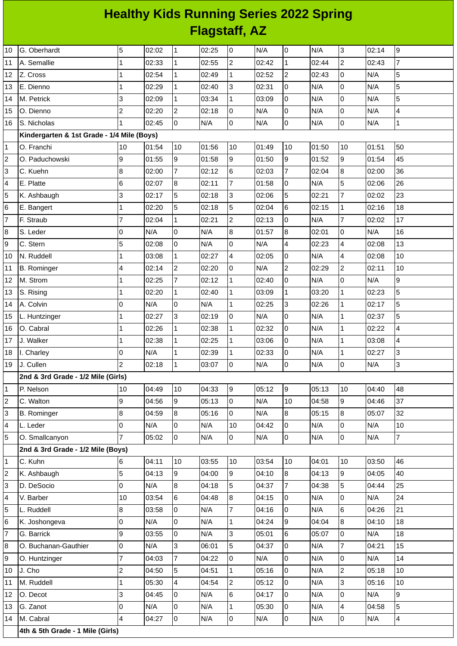## **Healthy Kids Running Series 2022 Spring Flagstaff, AZ**

| 10                      | G. Oberhardt                               | 5              | 02:02 | $\mathbf{1}$    | 02:25 | 0              | N/A   | $\mathsf 0$     | N/A   | 3                       | 02:14 | 9              |
|-------------------------|--------------------------------------------|----------------|-------|-----------------|-------|----------------|-------|-----------------|-------|-------------------------|-------|----------------|
| 11                      | A. Semallie                                | 1              | 02:33 | $\mathbf{1}$    | 02:55 | $\overline{c}$ | 02:42 | $\mathbf{1}$    | 02:44 | $\overline{c}$          | 02:43 | $\overline{7}$ |
| 12                      | Z. Cross                                   | 1              | 02:54 | $\vert$ 1       | 02:49 | 1              | 02:52 | $\overline{c}$  | 02:43 | $\mathsf 0$             | N/A   | 5              |
| 13                      | E. Dienno                                  | 1              | 02:29 | $\mathbf{1}$    | 02:40 | 3              | 02:31 | 0               | N/A   | $\mathsf{O}$            | N/A   | 5              |
| 14                      | M. Petrick                                 | 3              | 02:09 | $\mathbf{1}$    | 03:34 | $\mathbf{1}$   | 03:09 | 0               | N/A   | $\mathsf 0$             | N/A   | 5              |
| 15                      | O. Dienno                                  | $\overline{c}$ | 02:20 | $\overline{c}$  | 02:18 | 0              | N/A   | $\mathsf{O}$    | N/A   | $\mathsf 0$             | N/A   | 4              |
| 16                      | S. Nicholas                                | $\mathbf{1}$   | 02:45 | l0              | N/A   | 0              | N/A   | $\mathsf{O}$    | N/A   | $\mathsf{O}$            | N/A   | $\mathbf 1$    |
|                         | Kindergarten & 1st Grade - 1/4 Mile (Boys) |                |       |                 |       |                |       |                 |       |                         |       |                |
| $\mathbf{1}$            | O. Franchi                                 | 10             | 01:54 | 10              | 01:56 | 10             | 01:49 | 10              | 01:50 | 10                      | 01:51 | 50             |
| $\overline{c}$          | O. Paduchowski                             | 9              | 01:55 | 9               | 01:58 | 9              | 01:50 | 9               | 01:52 | 9                       | 01:54 | 45             |
| 3                       | C. Kuehn                                   | 8              | 02:00 | $\overline{7}$  | 02:12 | 6              | 02:03 | $\overline{7}$  | 02:04 | $\bf{8}$                | 02:00 | 36             |
| 4                       | E. Platte                                  | 6              | 02:07 | $\overline{8}$  | 02:11 | $\overline{7}$ | 01:58 | 0               | N/A   | 5                       | 02:06 | 26             |
| 5                       | K. Ashbaugh                                | 3              | 02:17 | 5               | 02:18 | 3              | 02:06 | 5               | 02:21 | $\overline{7}$          | 02:02 | 23             |
| 6                       | E. Bangert                                 | 1              | 02:20 | 5               | 02:18 | 5              | 02:04 | $\,6$           | 02:15 | $\mathbf{1}$            | 02:16 | 18             |
| $\overline{7}$          | F. Straub                                  | 7              | 02:04 | $\mathbf{1}$    | 02:21 | $\overline{c}$ | 02:13 | $\mathsf{O}$    | N/A   | $\overline{7}$          | 02:02 | 17             |
| 8                       | S. Leder                                   | 0              | N/A   | 0               | N/A   | 8              | 01:57 | 8               | 02:01 | O                       | N/A   | 16             |
| 9                       | C. Stern                                   | 5              | 02:08 | $\mathsf 0$     | N/A   | 0              | N/A   | 4               | 02:23 | $\overline{\mathbf{4}}$ | 02:08 | 13             |
| 10                      | N. Ruddell                                 | 1              | 03:08 | $\mathbf{1}$    | 02:27 | 4              | 02:05 | $\mathsf 0$     | N/A   | 4                       | 02:08 | 10             |
| 11                      | <b>B.</b> Rominger                         | 4              | 02:14 | $\overline{c}$  | 02:20 | 0              | N/A   | $\overline{c}$  | 02:29 | $\overline{c}$          | 02:11 | 10             |
| 12                      | M. Strom                                   | 1              | 02:25 | $\overline{7}$  | 02:12 | $\mathbf 1$    | 02:40 | $\mathsf{O}$    | N/A   | $\mathsf{O}$            | N/A   | 9              |
| 13                      | S. Rising                                  | 1              | 02:20 | $\mathbf{1}$    | 02:40 | $\mathbf 1$    | 03:09 | $\mathbf 1$     | 03:20 | $\mathbf{1}$            | 02:23 | 5              |
| 14                      | A. Colvin                                  | 0              | N/A   | 0               | N/A   | $\mathbf 1$    | 02:25 | 3               | 02:26 | $\mathbf{1}$            | 02:17 | 5              |
| 15                      | L. Huntzinger                              | 1              | 02:27 | $\overline{3}$  | 02:19 | $\overline{0}$ | N/A   | $\overline{0}$  | N/A   | $\mathbf{1}$            | 02:37 | 5              |
| 16                      | O. Cabral                                  | 1              | 02:26 | $\mathbf{1}$    | 02:38 | $\mathbf{1}$   | 02:32 | $\overline{0}$  | N/A   | $\mathbf 1$             | 02:22 | 4              |
| 17                      | J. Walker                                  | $\mathbf 1$    | 02:38 | $\mathbf{1}$    | 02:25 | $\mathbf 1$    | 03:06 | 0               | N/A   | $\mathbf{1}$            | 03:08 | 4              |
| 18                      | I. Charley                                 | 0              | N/A   | 1               | 02:39 | 1              | 02:33 | 0               | N/A   | $\mathbf{1}$            | 02:27 | 3              |
| 19                      | J. Cullen                                  | $\overline{c}$ | 02:18 | $\mathbf{1}$    | 03:07 | 0              | N/A   | 0               | N/A   | $\overline{0}$          | N/A   | 3              |
|                         | 2nd & 3rd Grade - 1/2 Mile (Girls)         |                |       |                 |       |                |       |                 |       |                         |       |                |
| 1                       | P. Nelson                                  | 10             | 04:49 | 10              | 04:33 | 9              | 05:12 | 9               | 05:13 | 10                      | 04:40 | 48             |
| $\overline{\mathbf{c}}$ | C. Walton                                  | 9              | 04:56 | 9               | 05:13 | $\overline{0}$ | N/A   | 10              | 04:58 | $\overline{9}$          | 04:46 | 37             |
| 3                       | <b>B.</b> Rominger                         | 8              | 04:59 | 8               | 05:16 | $\overline{0}$ | N/A   | 8               | 05:15 | 8                       | 05:07 | 32             |
| 4                       | L. Leder                                   | 0              | N/A   | $\overline{0}$  | N/A   | $10\,$         | 04:42 | $\overline{0}$  | N/A   | $\overline{0}$          | N/A   | 10             |
| 5                       | O. Smallcanyon                             | $\overline{7}$ | 05:02 | $\overline{0}$  | N/A   | $\overline{0}$ | N/A   | 0               | N/A   | $\overline{0}$          | N/A   | $\overline{7}$ |
|                         | 2nd & 3rd Grade - 1/2 Mile (Boys)          |                |       |                 |       |                |       |                 |       |                         |       |                |
| 1                       | C. Kuhn                                    | 6              | 04:11 | 10              | 03:55 | $10\,$         | 03:54 | 10              | 04:01 | 10                      | 03:50 | 46             |
| 2                       | K. Ashbaugh                                | 5              | 04:13 | 9               | 04:00 | 9              | 04:10 | 8               | 04:13 | $\overline{9}$          | 04:05 | 40             |
| 3                       | D. DeSocio                                 | 0              | N/A   | $\bf{8}$        | 04:18 | 5              | 04:37 | $\overline{7}$  | 04:38 | 5                       | 04:44 | 25             |
| 4                       | V. Barber                                  | 10             | 03:54 | $6\phantom{.}6$ | 04:48 | $\bf{8}$       | 04:15 | 0               | N/A   | $\overline{0}$          | N/A   | 24             |
| 5                       | L. Ruddell                                 | 8              | 03:58 | $\overline{0}$  | N/A   | $\overline{7}$ | 04:16 | $\overline{0}$  | N/A   | $6\phantom{.}6$         | 04:26 | 21             |
| 6                       | K. Joshongeva                              | 0              | N/A   | $\overline{0}$  | N/A   | $\mathbf{1}$   | 04:24 | $\overline{9}$  | 04:04 | $\bf{8}$                | 04:10 | 18             |
| 7                       | G. Barrick                                 | 9              | 03:55 | $\overline{0}$  | N/A   | 3              | 05:01 | $6\overline{6}$ | 05:07 | $\overline{0}$          | N/A   | 18             |
| 8                       | O. Buchanan-Gauthier                       | 0              | N/A   | $\overline{3}$  | 06:01 | 5              | 04:37 | $\overline{0}$  | N/A   | $\overline{7}$          | 04:21 | 15             |
| 9                       | O. Huntzinger                              | $\overline{7}$ | 04:03 | $\overline{7}$  | 04:22 | 0              | N/A   | $\overline{0}$  | N/A   | O                       | N/A   | 14             |
| 10                      | J. Cho                                     | $\overline{c}$ | 04:50 | 5               | 04:51 | $\mathbf 1$    | 05:16 | $\overline{0}$  | N/A   | $\overline{2}$          | 05:18 | 10             |
| 11                      | M. Ruddell                                 | 1              | 05:30 | $\overline{4}$  | 04:54 | $\overline{c}$ | 05:12 | $\overline{0}$  | N/A   | $\overline{3}$          | 05:16 | 10             |
| 12                      | O. Decot                                   | 3              | 04:45 | 0               | N/A   | 6              | 04:17 | 0               | N/A   | $\overline{0}$          | N/A   | 9              |
| 13                      | G. Zanot                                   | 0              | N/A   | 0               | N/A   | $\mathbf 1$    | 05:30 | 0               | N/A   | $\overline{4}$          | 04:58 | 5              |
| 14                      | M. Cabral                                  | 4              | 04:27 | $\overline{0}$  | N/A   | $\overline{0}$ | N/A   | 0               | N/A   | O                       | N/A   | $\overline{4}$ |
|                         | 4th & 5th Grade - 1 Mile (Girls)           |                |       |                 |       |                |       |                 |       |                         |       |                |
|                         |                                            |                |       |                 |       |                |       |                 |       |                         |       |                |